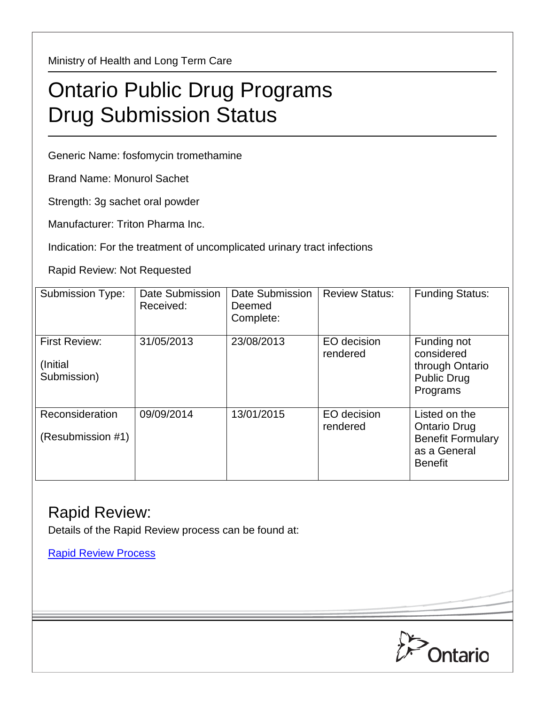Ministry of Health and Long Term Care

## Ontario Public Drug Programs Drug Submission Status

Generic Name: fosfomycin tromethamine

Brand Name: Monurol Sachet

Strength: 3g sachet oral powder

Manufacturer: Triton Pharma Inc.

Indication: For the treatment of uncomplicated urinary tract infections

Rapid Review: Not Requested

| Submission Type:                                | Date Submission<br>Received: | Date Submission<br>Deemed<br>Complete: | <b>Review Status:</b>   | <b>Funding Status:</b>                                                                             |
|-------------------------------------------------|------------------------------|----------------------------------------|-------------------------|----------------------------------------------------------------------------------------------------|
| <b>First Review:</b><br>(Initial<br>Submission) | 31/05/2013                   | 23/08/2013                             | EO decision<br>rendered | Funding not<br>considered<br>through Ontario<br><b>Public Drug</b><br>Programs                     |
| Reconsideration<br>(Resubmission #1)            | 09/09/2014                   | 13/01/2015                             | EO decision<br>rendered | Listed on the<br><b>Ontario Drug</b><br><b>Benefit Formulary</b><br>as a General<br><b>Benefit</b> |

## Rapid Review:

Details of the Rapid Review process can be found at:

[Rapid Review Process](http://www.health.gov.on.ca/en/pro/programs/drugs/drug_submissions/rapid_review_process.aspx)